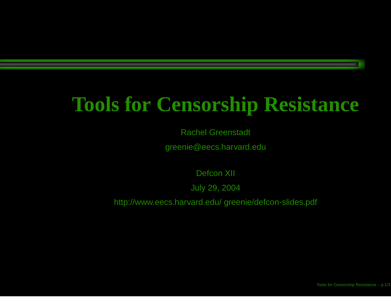### **Tools for Censorship Resistance**

Rachel Greenstadt

greenie@eecs.harvard.edu

Defcon XII

July 29, 2004

http://www.eecs.harvard.edu/ greenie/defcon-slides.pdf

Tools for Censorship Resistance – p.1/37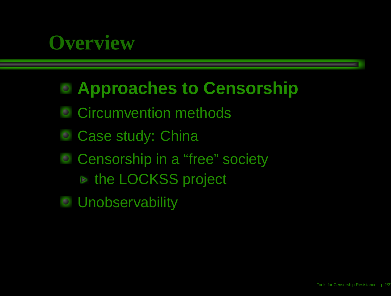### **Overview**

### **Approaches to Censorship**

- Circumvention methods
- Case study: China  $\bullet$
- **Censorship in a "free" society** the LOCKSS project
- **Unobservability**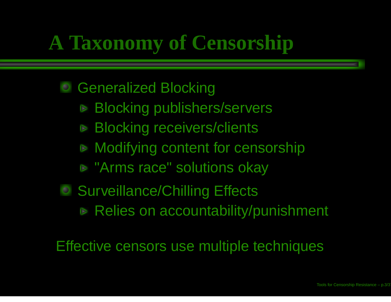# **A Taxonomy of Censorship**

### Generalized Blocking

- Blocking publishers/servers  $\triangledown$
- Blocking receivers/clients  $\triangledown$
- Modifying content for censorship  $\triangledown$
- "Arms race" solutions okay
- Surveillance/Chilling Effects
	- Relies on accountability/punishment

Effective censors use multiple techniques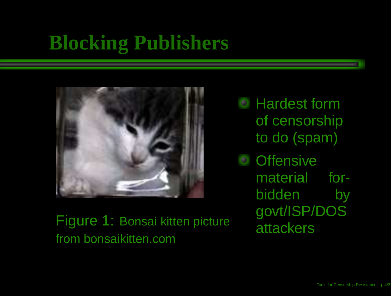### **Blocking Publishers**



Figure 1: Bonsai kitten picture from bonsaikitten.com

Hardest formof censorship to do (spam)

**Offensive** material forbidden by govt/ISP/DOS attackers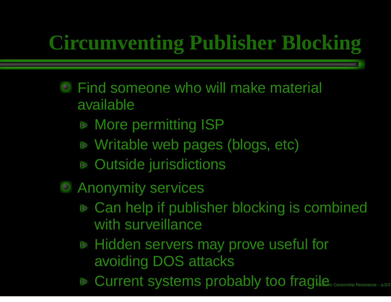# **Circumventing Publisher Blocking**

- Find someone who will make material available
	- More permitting ISP
	- Writable web pages (blogs, etc)
	- Outside jurisdictions
- **C** Anonymity services
	- Can help if publisher blocking is combined with surveillance
	- Hidden servers may prove useful for avoiding DOS attacks
	- Current systems probably too fragile<sub>or Censorship Resistance p.5/37</sub>  $\triangledown$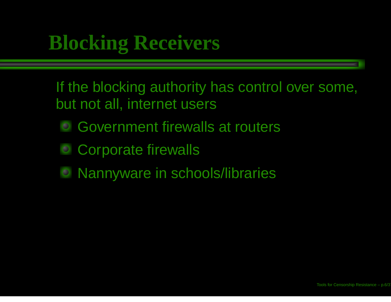### **Blocking Receivers**

If the blocking authority has control over some, but not all, internet users

- Government firewalls at routers
- Corporate firewalls
- Nannyware in schools/libraries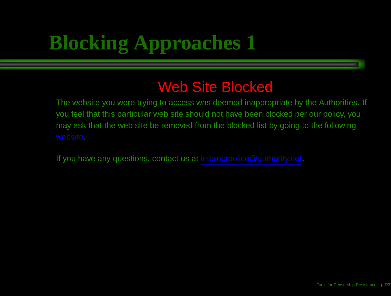# **Blocking Approaches 1**

### Web Site Blocked

The website you were trying to access was deemed inappropriate by the Authorities. If you feel that this particular web site should not have been blocked per our policy, you may ask that the web site be removed from the blocked list by going to the following

If you have any questions, contact us at internetpolice@authority.net.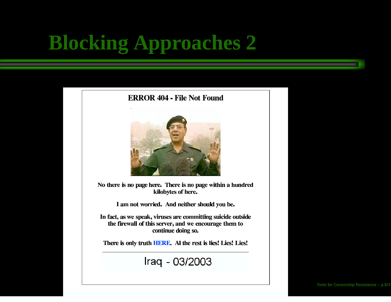# **Blocking Approaches 2**

#### **ERROR 404 - File Not Found**



No there is no page here. There is no page within a hundred kilobytes of here.

I am not worried. And neither should you be.

In fact, as we speak, viruses are committing suicide outside the firewall of this server, and we encourage them to continue doing so.

There is only truth HERE. Al the rest is lies! Lies! Lies!

Iraq - 03/2003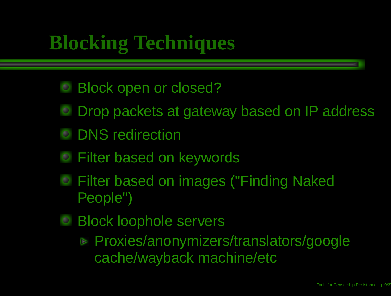## **Blocking Techniques**

- Block open or closed?
- Drop packets at gateway based on IP address  $\bullet$
- DNS redirection  $\bullet$
- Filter based on keywords
- Filter based on images ("Finding Naked People")
- Block loophole servers

Proxies/anonymizers/translators/google cache/wayback machine/etc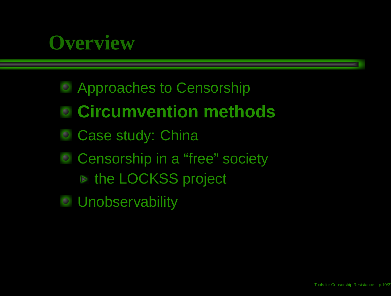### **Overview**

- Approaches to Censorship
- **Circumvention methods**
- Case study: China
- Censorship in <sup>a</sup> "free" society  $\bullet$ the LOCKSS project
- **Unobservability**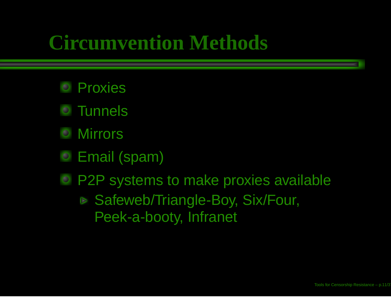### **Circumvention Methods**

- Proxies
- Tunnels
- Mirrors
- Email (spam)
- P2P systems to make proxies available **▶ Safeweb/Triangle-Boy, Six/Four,** Peek-a-booty, Infranet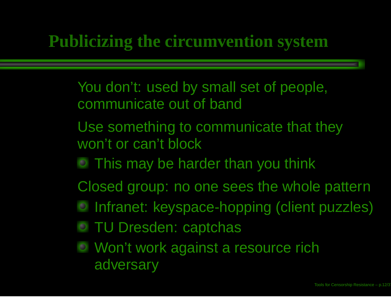### **Publicizing the circumvention system**

- You don't: used by small set of people, communicate out of band
- Use something to communicate that they won't or can't block
	- This may be harder than you think
- Closed group: no one sees the whole pattern
	- Infranet: keyspace-hopping (client puzzles)
	- TU Dresden: captchas
	- Won't work against <sup>a</sup> resource rich adversary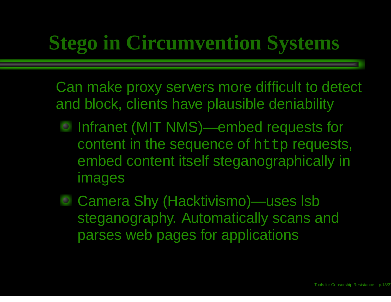### **Stego in Circumvention Systems**

Can make proxy servers more difficult to detect and block, clients have plausible deniability

- Infranet (MIT NMS)—embed requests for content in the sequence of  ${\tt http}$  requests, embed content itself steganographically in images
- Camera Shy (Hacktivismo)—uses lsb steganography. Automatically scans and parses web pages for applications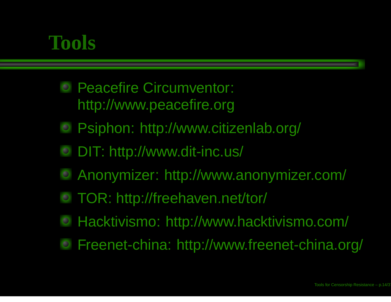### **Tools**

- Peacefire Circumventor: http://www.peacefire.org
- Psiphon: http://www.citizenlab.org/  $\bigcirc$
- DIT: http://www.dit-inc.us/
- Anonymizer: http://www.anonymizer.com/
- TOR: http://freehaven.net/tor/
- Hacktivismo: http://www.hacktivismo.com/  $\bullet$
- Freenet-china: http://www.freenet-china.org/  $\bullet$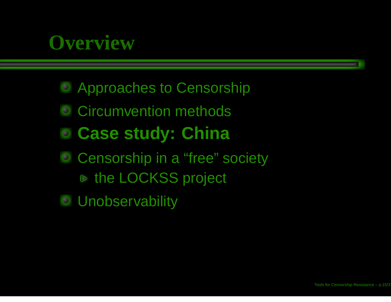### **Overview**

- Approaches to Censorship
- Circumvention methods
- **Case study: China**
- **Censorship in a "free" society** the LOCKSS project
- **Unobservability**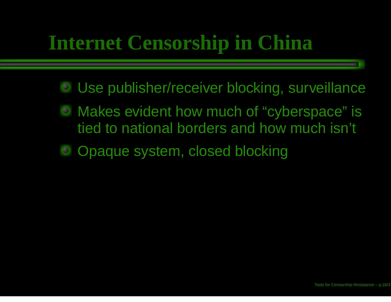### **Internet Censorship in China**

- Use publisher/receiver blocking, surveillance
- Makes evident how much of "cyberspace" is tied to national borders and how much isn't
- Opaque system, closed blocking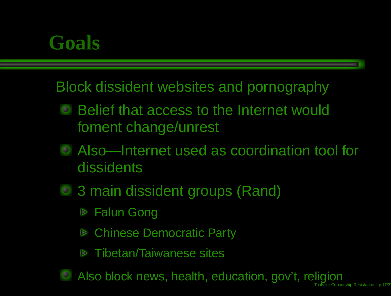### **Goals**

Block dissident websites and pornography

- Belief that access to the Internet would foment change/unrest
- Also—Internet used as coordination tool for dissidents
- 3 main dissident groups (Rand)
	- Falun Gong  $\triangleright$
	- Chinese Democratic Party  $\triangleright$
	- Tibetan/Taiwanese sites
- Also block news, health, education, gov't, religion Toolss for Censorship Resistance – p.17/37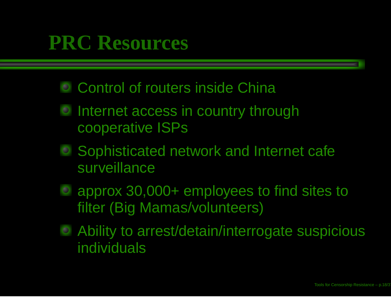### **PRC Resources**

- Control of routers inside China
- Internet access in country through cooperative ISPs
- Sophisticated network and Internet cafe surveillance
- approx 30,000+ employees to find sites to filter (Big Mamas/volunteers)
- Ability to arrest/detain/interrogate suspicious individuals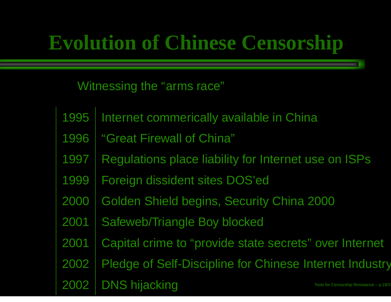# **Evolution of Chinese Censorship**

### Witnessing the "arms race"

| 1995 | Internet commerically available in China                          |
|------|-------------------------------------------------------------------|
| 1996 | "Great Firewall of China"                                         |
| 1997 | Regulations place liability for Internet use on ISPs              |
| 1999 | Foreign dissident sites DOS'ed                                    |
| 2000 | Golden Shield begins, Security China 2000                         |
| 2001 | Safeweb/Triangle Boy blocked                                      |
| 2001 | Capital crime to "provide state secrets" over Internet            |
| 2002 | Pledge of Self-Discipline for Chinese Internet Industry           |
| 2002 | <b>DNS hijacking</b><br>Tools for Censorship Resistance - p.19/3. |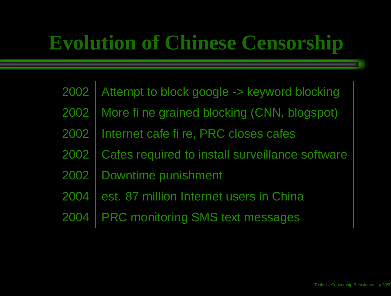## **Evolution of Chinese Censorship**

2002 Attempt to block google -> keyword blocking 2002More fine grained blocking (CNN, blogspot) 2002Internet cafe fire, PRC closes cafes 2002 Cafes required to install surveillance software 2002 Downtime punishment 2004 est. 87 million Internet users in China 20044 PRC monitoring SMS text messages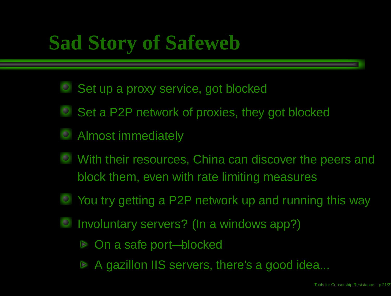### **Sad Story of Safeweb**

- Set up a proxy service, got blocked
- Set a P2P network of proxies, they got blocked
- Almost immediately
- With their resources, China can discover the peers and block them, even with rate limiting measures
- You try getting <sup>a</sup> P2P network up and running this way
- Involuntary servers? (In <sup>a</sup> windows app?)
	- On <sup>a</sup> safe port—blocked  $\triangleright$
	- A gazillon IIS servers, there's <sup>a</sup> good idea...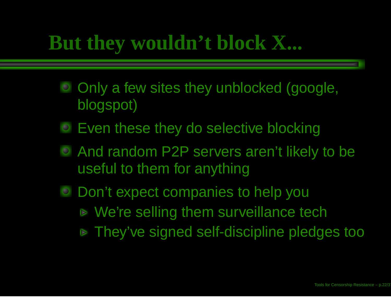### **But they wouldn't block X...**

- O Only a few sites they unblocked (google, blogspot)
- Even these they do selective blocking
- And random P2P servers aren't likely to be useful to them for anything
- Don't expect companies to help you We're selling them surveillance tech **▶ They've signed self-discipline pledges too**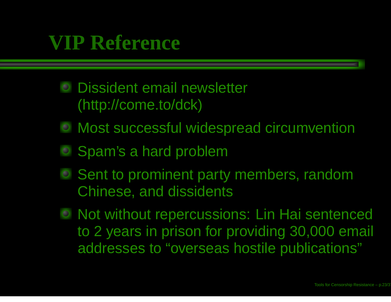### **VIP Reference**

- Dissident email newsletter (http://come.to/dck)
- Most successful widespread circumvention
- Spam's <sup>a</sup> hard problem
- Sent to prominent party members, random Chinese, and dissidents
- Not without repercussions: Lin Hai sentenced to 2 years in prison for providing 30,000 email addresses to "overseas hostile publications"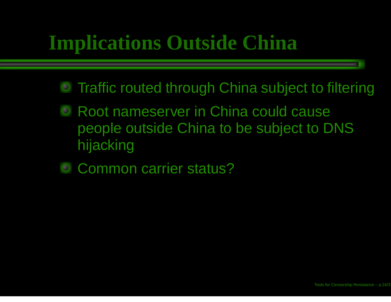### **Implications Outside China**

- Traffic routed through China subject to filtering
- Root nameserver in China could cause  $\bullet$ people outside China to be subject to DNS hijacking
- Common carrier status?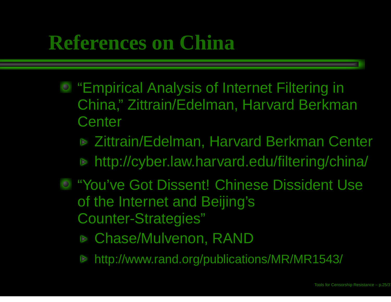### **References on China**

- **"Empirical Analysis of Internet Filtering in** China," Zittrain/Edelman, Harvard Berkman **Center** 
	- **▶ Zittrain/Edelman, Harvard Berkman Center** http://cyber.law.harvard.edu/filtering/china/
- "You've Got Dissent! Chinese Dissident Use of the Internet and Beijing's Counter-Strategies"
	- Chase/Mulvenon, RAND
	- http://www.rand.org/publications/MR/MR1543/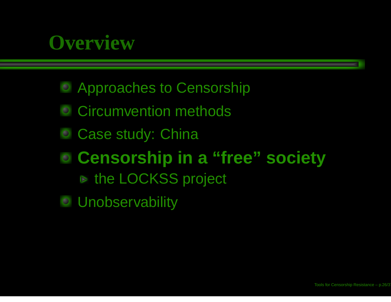### **Overview**

- **Exercise Approaches to Censorship**
- Circumvention methods
- Case study: China
- **Censorship in <sup>a</sup> "free" society** the LOCKSS project
- **Unobservability**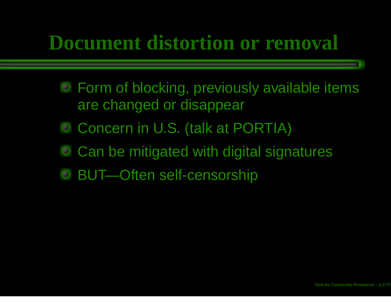### **Document distortion or removal**

- Form of blocking, previously available items are changed or disappear
- Concern in U.S. (talk at PORTIA)
- Can be mitigated with digital signatures
- BUT—Often self-censorship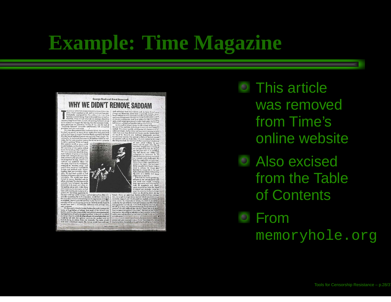### **Example: Time Magazine**



**ТІМЕ, МАВСИ 2, 1998** 

words have been a dimensionally differently and principal baryons of the state of the state of the state of the state of the state of the state of the state of the state of the state of the state of the state of the state

be two moderns of the same

share conseques train and countino analysis perfects that the change are objectives. Given those unpalatable choices, we allowed Saddam to avoid personal surrender and permitted him to see the set of one of his generals. P

anks that once they allowed U.S. forces into the Middle East.

C1998. All rights reserved. From A World Transformed by George.<br>Bush and Brent Scoreeroft, to be published by Alfred A. Knopf Inc.

This article was removedfrom Time's online website

Also excised from the Table of Contents

From

memoryhole.org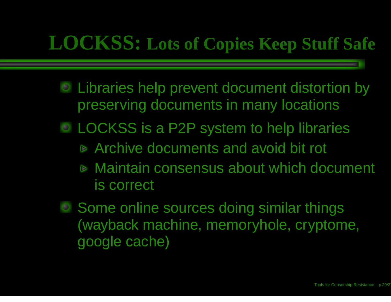### **LOCKSS: Lots of Copies Keep Stuff Safe**

- Libraries help prevent document distortion by preserving documents in many locations
- LOCKSS is <sup>a</sup> P2P system to help libraries
	- Archive documents and avoid bit rot
	- Maintain consensus about which document is correct
- Some online sources doing similar things (wayback machine, memoryhole, cryptome, google cache)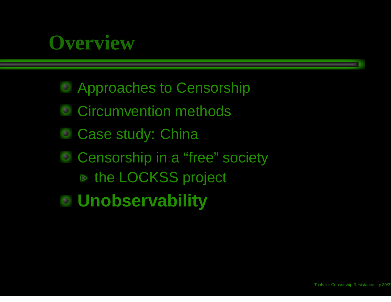### **Overview**

- Approaches to Censorship
- Circumvention methods
- Case study: China
- **Censorship in a "free" society** the LOCKSS project
- **Unobservability**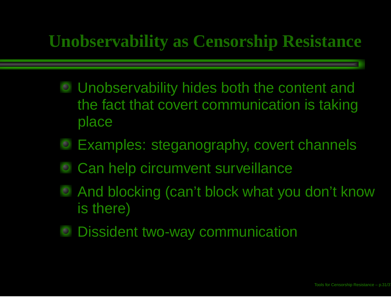### **Unobservability as Censorship Resistance**

- Unobservability hides both the content and the fact that covert communication is taking place
- Examples: steganography, covert channels
- Can help circumvent surveillance  $\bullet$
- And blocking (can't block what you don't know is there)
- Dissident two-way communication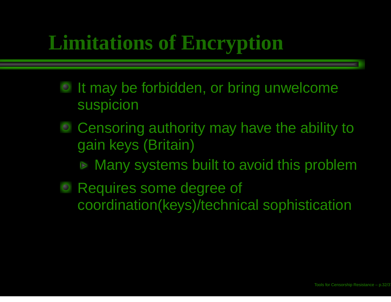### **Limitations of Encryption**

- It may be forbidden, or bring unwelcome suspicion
- Censoring authority may have the ability to gain keys (Britain)
	- **▶ Many systems built to avoid this problem**
- Requires some degree of coordination(keys)/technical sophistication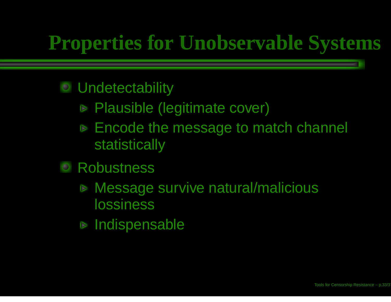### **Properties for Unobservable Systems**

#### **Undetectability**  $\bullet$

- Plausible (legitimate cover)
- Encode the message to match channel **statistically**
- **Robustness** 
	- **▶ Message survive natural/malicious** lossiness
	- Indispensable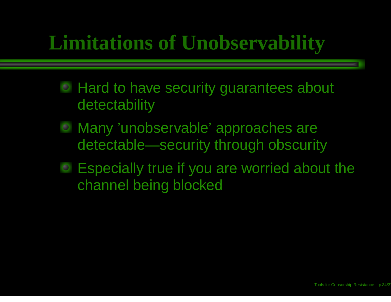## **Limitations of Unobservability**

- Hard to have security guarantees about detectability
- Many 'unobservable' approaches are detectable—security through obscurity
- Especially true if you are worried about the channel being blocked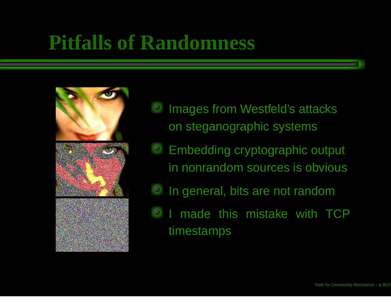### **Pitfalls of Randomness**



- Images from Westfeld's attacks on steganographic systems
- Embedding cryptographic output in nonrandom sources is obvious
- In general, bits are not random
- made this mistake with TCPtimestamps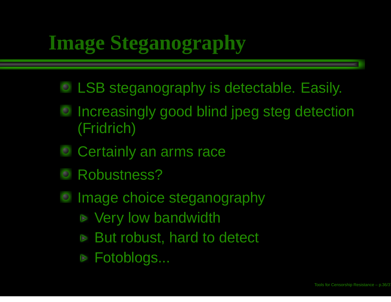# **Image Steganography**

- LSB steganography is detectable. Easily.
- **Increasingly good blind jpeg steg detection** (Fridrich)
- Certainly an arms race
- Robustness? $\bullet$
- Image choice steganography  $\bullet$ 
	- **▶ Very low bandwidth**
	- **▶ But robust, hard to detect**
	- Fotoblogs...